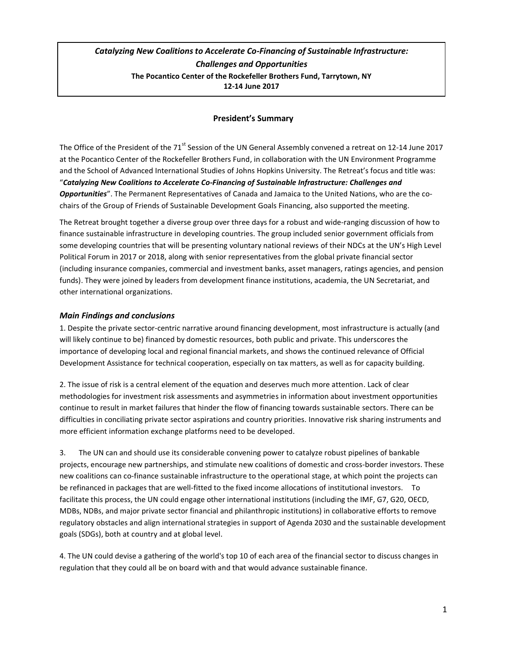# *Catalyzing New Coalitions to Accelerate Co-Financing of Sustainable Infrastructure: Challenges and Opportunities* **The Pocantico Center of the Rockefeller Brothers Fund, Tarrytown, NY 12-14 June 2017**

## **President's Summary**

The Office of the President of the 71<sup>st</sup> Session of the UN General Assembly convened a retreat on 12-14 June 2017 at the Pocantico Center of the Rockefeller Brothers Fund, in collaboration with the UN Environment Programme and the School of Advanced International Studies of Johns Hopkins University. The Retreat's focus and title was: "*Catalyzing New Coalitions to Accelerate Co-Financing of Sustainable Infrastructure: Challenges and Opportunities*". The Permanent Representatives of Canada and Jamaica to the United Nations, who are the cochairs of the Group of Friends of Sustainable Development Goals Financing, also supported the meeting.

The Retreat brought together a diverse group over three days for a robust and wide-ranging discussion of how to finance sustainable infrastructure in developing countries. The group included senior government officials from some developing countries that will be presenting voluntary national reviews of their NDCs at the UN's High Level Political Forum in 2017 or 2018, along with senior representatives from the global private financial sector (including insurance companies, commercial and investment banks, asset managers, ratings agencies, and pension funds). They were joined by leaders from development finance institutions, academia, the UN Secretariat, and other international organizations.

## *Main Findings and conclusions*

1. Despite the private sector-centric narrative around financing development, most infrastructure is actually (and will likely continue to be) financed by domestic resources, both public and private. This underscores the importance of developing local and regional financial markets, and shows the continued relevance of Official Development Assistance for technical cooperation, especially on tax matters, as well as for capacity building.

2. The issue of risk is a central element of the equation and deserves much more attention. Lack of clear methodologies for investment risk assessments and asymmetries in information about investment opportunities continue to result in market failures that hinder the flow of financing towards sustainable sectors. There can be difficulties in conciliating private sector aspirations and country priorities. Innovative risk sharing instruments and more efficient information exchange platforms need to be developed.

3. The UN can and should use its considerable convening power to catalyze robust pipelines of bankable projects, encourage new partnerships, and stimulate new coalitions of domestic and cross-border investors. These new coalitions can co-finance sustainable infrastructure to the operational stage, at which point the projects can be refinanced in packages that are well-fitted to the fixed income allocations of institutional investors. To facilitate this process, the UN could engage other international institutions (including the IMF, G7, G20, OECD, MDBs, NDBs, and major private sector financial and philanthropic institutions) in collaborative efforts to remove regulatory obstacles and align international strategies in support of Agenda 2030 and the sustainable development goals (SDGs), both at country and at global level.

4. The UN could devise a gathering of the world's top 10 of each area of the financial sector to discuss changes in regulation that they could all be on board with and that would advance sustainable finance.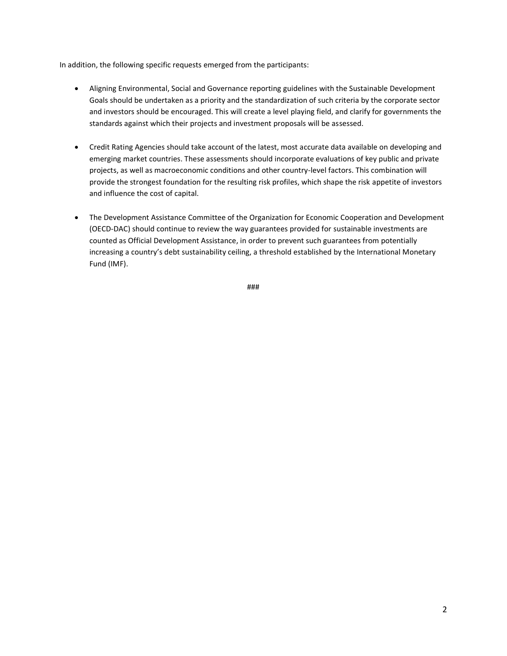In addition, the following specific requests emerged from the participants:

- Aligning Environmental, Social and Governance reporting guidelines with the Sustainable Development Goals should be undertaken as a priority and the standardization of such criteria by the corporate sector and investors should be encouraged. This will create a level playing field, and clarify for governments the standards against which their projects and investment proposals will be assessed.
- Credit Rating Agencies should take account of the latest, most accurate data available on developing and emerging market countries. These assessments should incorporate evaluations of key public and private projects, as well as macroeconomic conditions and other country-level factors. This combination will provide the strongest foundation for the resulting risk profiles, which shape the risk appetite of investors and influence the cost of capital.
- The Development Assistance Committee of the Organization for Economic Cooperation and Development (OECD-DAC) should continue to review the way guarantees provided for sustainable investments are counted as Official Development Assistance, in order to prevent such guarantees from potentially increasing a country's debt sustainability ceiling, a threshold established by the International Monetary Fund (IMF).

###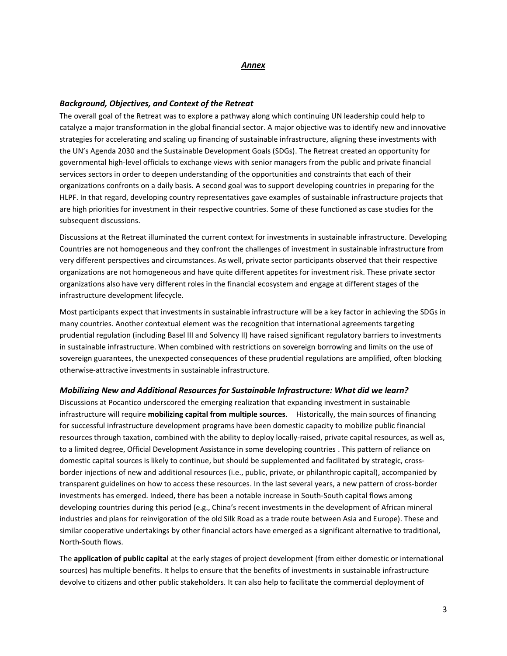#### *Annex*

### *Background, Objectives, and Context of the Retreat*

The overall goal of the Retreat was to explore a pathway along which continuing UN leadership could help to catalyze a major transformation in the global financial sector. A major objective was to identify new and innovative strategies for accelerating and scaling up financing of sustainable infrastructure, aligning these investments with the UN's Agenda 2030 and the Sustainable Development Goals (SDGs). The Retreat created an opportunity for governmental high-level officials to exchange views with senior managers from the public and private financial services sectors in order to deepen understanding of the opportunities and constraints that each of their organizations confronts on a daily basis. A second goal was to support developing countries in preparing for the HLPF. In that regard, developing country representatives gave examples of sustainable infrastructure projects that are high priorities for investment in their respective countries. Some of these functioned as case studies for the subsequent discussions.

Discussions at the Retreat illuminated the current context for investments in sustainable infrastructure. Developing Countries are not homogeneous and they confront the challenges of investment in sustainable infrastructure from very different perspectives and circumstances. As well, private sector participants observed that their respective organizations are not homogeneous and have quite different appetites for investment risk. These private sector organizations also have very different roles in the financial ecosystem and engage at different stages of the infrastructure development lifecycle.

Most participants expect that investments in sustainable infrastructure will be a key factor in achieving the SDGs in many countries. Another contextual element was the recognition that international agreements targeting prudential regulation (including Basel III and Solvency II) have raised significant regulatory barriers to investments in sustainable infrastructure. When combined with restrictions on sovereign borrowing and limits on the use of sovereign guarantees, the unexpected consequences of these prudential regulations are amplified, often blocking otherwise-attractive investments in sustainable infrastructure.

#### *Mobilizing New and Additional Resources for Sustainable Infrastructure: What did we learn?*

Discussions at Pocantico underscored the emerging realization that expanding investment in sustainable infrastructure will require **mobilizing capital from multiple sources**. Historically, the main sources of financing for successful infrastructure development programs have been domestic capacity to mobilize public financial resources through taxation, combined with the ability to deploy locally-raised, private capital resources, as well as, to a limited degree, Official Development Assistance in some developing countries . This pattern of reliance on domestic capital sources is likely to continue, but should be supplemented and facilitated by strategic, crossborder injections of new and additional resources (i.e., public, private, or philanthropic capital), accompanied by transparent guidelines on how to access these resources. In the last several years, a new pattern of cross-border investments has emerged. Indeed, there has been a notable increase in South-South capital flows among developing countries during this period (e.g., China's recent investments in the development of African mineral industries and plans for reinvigoration of the old Silk Road as a trade route between Asia and Europe). These and similar cooperative undertakings by other financial actors have emerged as a significant alternative to traditional, North-South flows.

The **application of public capital** at the early stages of project development (from either domestic or international sources) has multiple benefits. It helps to ensure that the benefits of investments in sustainable infrastructure devolve to citizens and other public stakeholders. It can also help to facilitate the commercial deployment of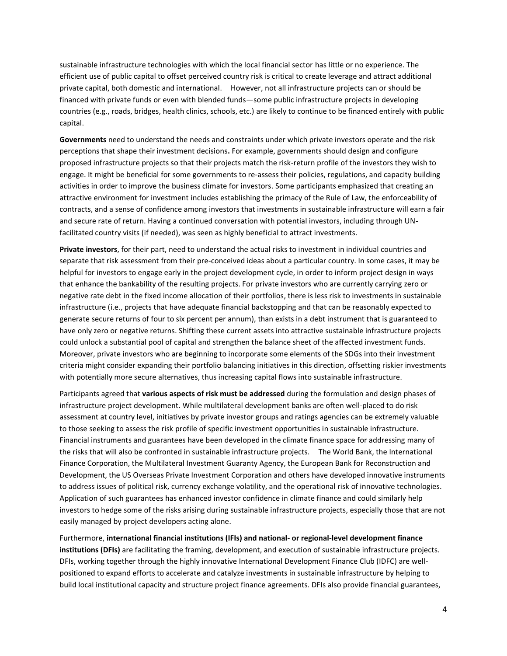sustainable infrastructure technologies with which the local financial sector has little or no experience. The efficient use of public capital to offset perceived country risk is critical to create leverage and attract additional private capital, both domestic and international. However, not all infrastructure projects can or should be financed with private funds or even with blended funds—some public infrastructure projects in developing countries (e.g., roads, bridges, health clinics, schools, etc.) are likely to continue to be financed entirely with public capital.

**Governments** need to understand the needs and constraints under which private investors operate and the risk perceptions that shape their investment decisions**.** For example, governments should design and configure proposed infrastructure projects so that their projects match the risk-return profile of the investors they wish to engage. It might be beneficial for some governments to re-assess their policies, regulations, and capacity building activities in order to improve the business climate for investors. Some participants emphasized that creating an attractive environment for investment includes establishing the primacy of the Rule of Law, the enforceability of contracts, and a sense of confidence among investors that investments in sustainable infrastructure will earn a fair and secure rate of return. Having a continued conversation with potential investors, including through UNfacilitated country visits (if needed), was seen as highly beneficial to attract investments.

**Private investors**, for their part, need to understand the actual risks to investment in individual countries and separate that risk assessment from their pre-conceived ideas about a particular country. In some cases, it may be helpful for investors to engage early in the project development cycle, in order to inform project design in ways that enhance the bankability of the resulting projects. For private investors who are currently carrying zero or negative rate debt in the fixed income allocation of their portfolios, there is less risk to investments in sustainable infrastructure (i.e., projects that have adequate financial backstopping and that can be reasonably expected to generate secure returns of four to six percent per annum), than exists in a debt instrument that is guaranteed to have only zero or negative returns. Shifting these current assets into attractive sustainable infrastructure projects could unlock a substantial pool of capital and strengthen the balance sheet of the affected investment funds. Moreover, private investors who are beginning to incorporate some elements of the SDGs into their investment criteria might consider expanding their portfolio balancing initiatives in this direction, offsetting riskier investments with potentially more secure alternatives, thus increasing capital flows into sustainable infrastructure.

Participants agreed that **various aspects of risk must be addressed** during the formulation and design phases of infrastructure project development. While multilateral development banks are often well-placed to do risk assessment at country level, initiatives by private investor groups and ratings agencies can be extremely valuable to those seeking to assess the risk profile of specific investment opportunities in sustainable infrastructure. Financial instruments and guarantees have been developed in the climate finance space for addressing many of the risks that will also be confronted in sustainable infrastructure projects. The World Bank, the International Finance Corporation, the Multilateral Investment Guaranty Agency, the European Bank for Reconstruction and Development, the US Overseas Private Investment Corporation and others have developed innovative instruments to address issues of political risk, currency exchange volatility, and the operational risk of innovative technologies. Application of such guarantees has enhanced investor confidence in climate finance and could similarly help investors to hedge some of the risks arising during sustainable infrastructure projects, especially those that are not easily managed by project developers acting alone.

Furthermore, **international financial institutions (IFIs) and national- or regional-level development finance institutions (DFIs)** are facilitating the framing, development, and execution of sustainable infrastructure projects. DFIs, working together through the highly innovative International Development Finance Club (IDFC) are wellpositioned to expand efforts to accelerate and catalyze investments in sustainable infrastructure by helping to build local institutional capacity and structure project finance agreements. DFIs also provide financial guarantees,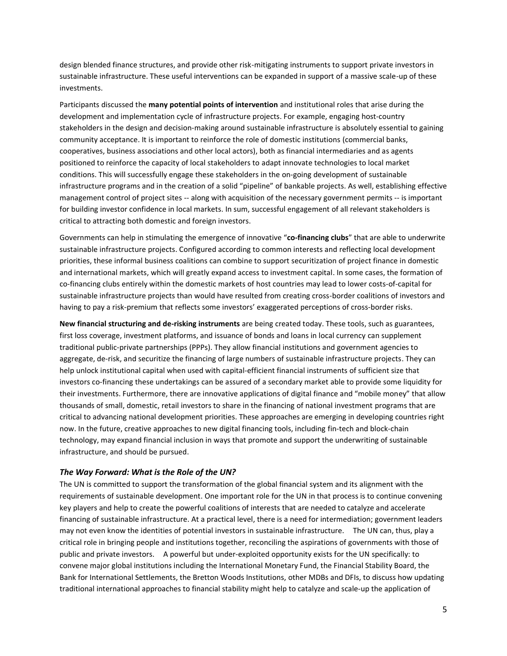design blended finance structures, and provide other risk-mitigating instruments to support private investors in sustainable infrastructure. These useful interventions can be expanded in support of a massive scale-up of these investments.

Participants discussed the **many potential points of intervention** and institutional roles that arise during the development and implementation cycle of infrastructure projects. For example, engaging host-country stakeholders in the design and decision-making around sustainable infrastructure is absolutely essential to gaining community acceptance. It is important to reinforce the role of domestic institutions (commercial banks, cooperatives, business associations and other local actors), both as financial intermediaries and as agents positioned to reinforce the capacity of local stakeholders to adapt innovate technologies to local market conditions. This will successfully engage these stakeholders in the on-going development of sustainable infrastructure programs and in the creation of a solid "pipeline" of bankable projects. As well, establishing effective management control of project sites -- along with acquisition of the necessary government permits -- is important for building investor confidence in local markets. In sum, successful engagement of all relevant stakeholders is critical to attracting both domestic and foreign investors.

Governments can help in stimulating the emergence of innovative "**co-financing clubs**" that are able to underwrite sustainable infrastructure projects. Configured according to common interests and reflecting local development priorities, these informal business coalitions can combine to support securitization of project finance in domestic and international markets, which will greatly expand access to investment capital. In some cases, the formation of co-financing clubs entirely within the domestic markets of host countries may lead to lower costs-of-capital for sustainable infrastructure projects than would have resulted from creating cross-border coalitions of investors and having to pay a risk-premium that reflects some investors' exaggerated perceptions of cross-border risks.

**New financial structuring and de-risking instruments** are being created today. These tools, such as guarantees, first loss coverage, investment platforms, and issuance of bonds and loans in local currency can supplement traditional public-private partnerships (PPPs). They allow financial institutions and government agencies to aggregate, de-risk, and securitize the financing of large numbers of sustainable infrastructure projects. They can help unlock institutional capital when used with capital-efficient financial instruments of sufficient size that investors co-financing these undertakings can be assured of a secondary market able to provide some liquidity for their investments. Furthermore, there are innovative applications of digital finance and "mobile money" that allow thousands of small, domestic, retail investors to share in the financing of national investment programs that are critical to advancing national development priorities. These approaches are emerging in developing countries right now. In the future, creative approaches to new digital financing tools, including fin-tech and block-chain technology, may expand financial inclusion in ways that promote and support the underwriting of sustainable infrastructure, and should be pursued.

#### *The Way Forward: What is the Role of the UN?*

The UN is committed to support the transformation of the global financial system and its alignment with the requirements of sustainable development. One important role for the UN in that process is to continue convening key players and help to create the powerful coalitions of interests that are needed to catalyze and accelerate financing of sustainable infrastructure. At a practical level, there is a need for intermediation; government leaders may not even know the identities of potential investors in sustainable infrastructure. The UN can, thus, play a critical role in bringing people and institutions together, reconciling the aspirations of governments with those of public and private investors. A powerful but under-exploited opportunity exists for the UN specifically: to convene major global institutions including the International Monetary Fund, the Financial Stability Board, the Bank for International Settlements, the Bretton Woods Institutions, other MDBs and DFIs, to discuss how updating traditional international approaches to financial stability might help to catalyze and scale-up the application of